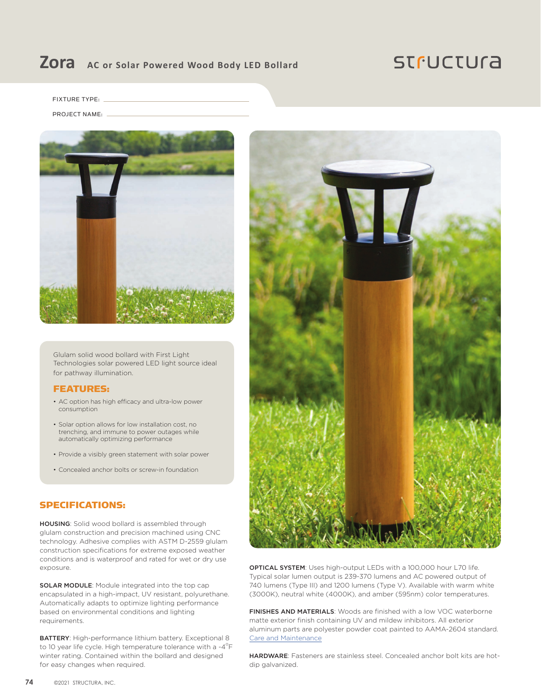## **Zora AC or Solar Powered Wood Body LED Bollard**

## **STFUCTUra**

FIXTURE TYPE:

#### PROJECT NAME:



Glulam solid wood bollard with First Light Technologies solar powered LED light source ideal for pathway illumination.

### FEATURES:

- AC option has high efficacy and ultra-low power consumption
- Solar option allows for low installation cost, no trenching, and immune to power outages while automatically optimizing performance
- Provide a visibly green statement with solar power
- Concealed anchor bolts or screw-in foundation

### SPECIFICATIONS:

HOUSING: Solid wood bollard is assembled through glulam construction and precision machined using CNC technology. Adhesive complies with ASTM D-2559 glulam construction specifications for extreme exposed weather conditions and is waterproof and rated for wet or dry use exposure.

SOLAR MODULE: Module integrated into the top cap encapsulated in a high-impact, UV resistant, polyurethane. Automatically adapts to optimize lighting performance based on environmental conditions and lighting requirements.

BATTERY: High-performance lithium battery. Exceptional 8 to 10 year life cycle. High temperature tolerance with a -4 $\mathrm{^oF}$ winter rating. Contained within the bollard and designed for easy changes when required.



OPTICAL SYSTEM: Uses high-output LEDs with a 100,000 hour L70 life. Typical solar lumen output is 239-370 lumens and AC powered output of 740 lumens (Type III) and 1200 lumens (Type V). Available with warm white (3000K), neutral white (4000K), and amber (595nm) color temperatures.

FINISHES AND MATERIALS: Woods are finished with a low VOC waterborne matte exterior finish containing UV and mildew inhibitors. All exterior aluminum parts are polyester powder coat painted to AAMA-2604 standard. [Care and Maintenance](https://structura.com/resources/care-maintenance)

HARDWARE: Fasteners are stainless steel. Concealed anchor bolt kits are hotdip galvanized.